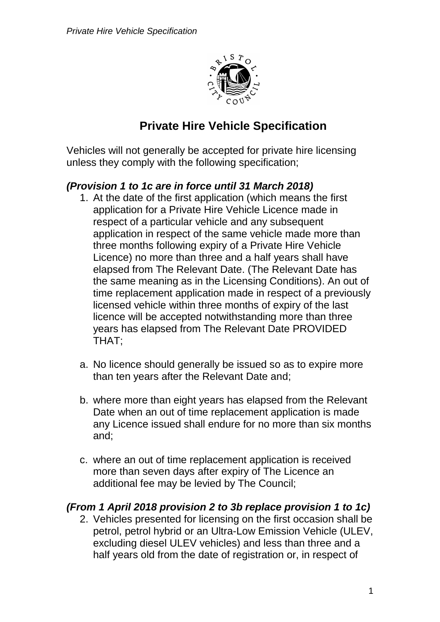

# **Private Hire Vehicle Specification**

Vehicles will not generally be accepted for private hire licensing unless they comply with the following specification;

### *(Provision 1 to 1c are in force until 31 March 2018)*

- 1. At the date of the first application (which means the first application for a Private Hire Vehicle Licence made in respect of a particular vehicle and any subsequent application in respect of the same vehicle made more than three months following expiry of a Private Hire Vehicle Licence) no more than three and a half years shall have elapsed from The Relevant Date. (The Relevant Date has the same meaning as in the Licensing Conditions). An out of time replacement application made in respect of a previously licensed vehicle within three months of expiry of the last licence will be accepted notwithstanding more than three years has elapsed from The Relevant Date PROVIDED THAT;
- a. No licence should generally be issued so as to expire more than ten years after the Relevant Date and;
- b. where more than eight years has elapsed from the Relevant Date when an out of time replacement application is made any Licence issued shall endure for no more than six months and;
- c. where an out of time replacement application is received more than seven days after expiry of The Licence an additional fee may be levied by The Council;

### *(From 1 April 2018 provision 2 to 3b replace provision 1 to 1c)*

2. Vehicles presented for licensing on the first occasion shall be petrol, petrol hybrid or an Ultra-Low Emission Vehicle (ULEV, excluding diesel ULEV vehicles) and less than three and a half years old from the date of registration or, in respect of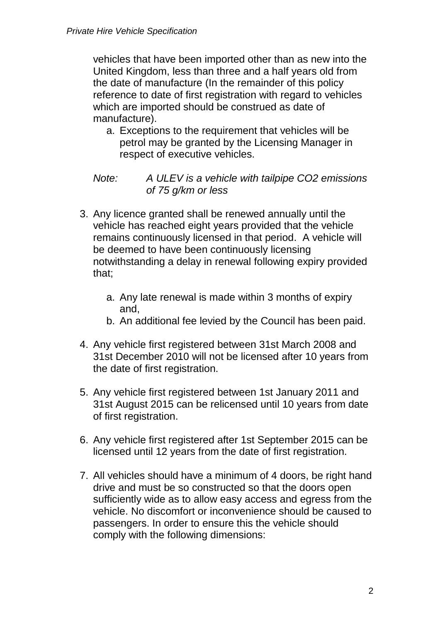vehicles that have been imported other than as new into the United Kingdom, less than three and a half years old from the date of manufacture (In the remainder of this policy reference to date of first registration with regard to vehicles which are imported should be construed as date of manufacture).

a. Exceptions to the requirement that vehicles will be petrol may be granted by the Licensing Manager in respect of executive vehicles.

*Note: A ULEV is a vehicle with tailpipe CO2 emissions of 75 g/km or less*

- 3. Any licence granted shall be renewed annually until the vehicle has reached eight years provided that the vehicle remains continuously licensed in that period. A vehicle will be deemed to have been continuously licensing notwithstanding a delay in renewal following expiry provided that;
	- a. Any late renewal is made within 3 months of expiry and,
	- b. An additional fee levied by the Council has been paid.
- 4. Any vehicle first registered between 31st March 2008 and 31st December 2010 will not be licensed after 10 years from the date of first registration.
- 5. Any vehicle first registered between 1st January 2011 and 31st August 2015 can be relicensed until 10 years from date of first registration.
- 6. Any vehicle first registered after 1st September 2015 can be licensed until 12 years from the date of first registration.
- 7. All vehicles should have a minimum of 4 doors, be right hand drive and must be so constructed so that the doors open sufficiently wide as to allow easy access and egress from the vehicle. No discomfort or inconvenience should be caused to passengers. In order to ensure this the vehicle should comply with the following dimensions: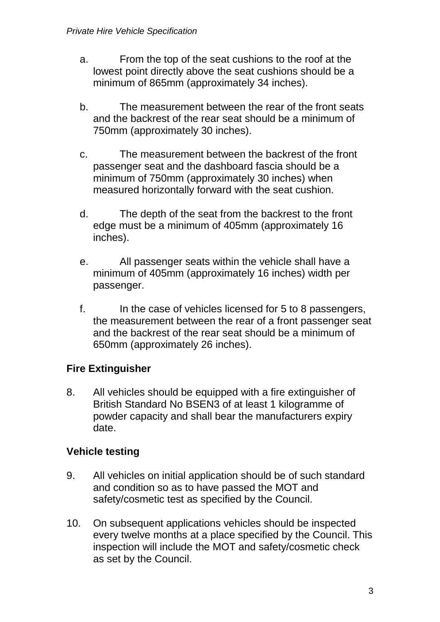- a. From the top of the seat cushions to the roof at the lowest point directly above the seat cushions should be a minimum of 865mm (approximately 34 inches).
- b. The measurement between the rear of the front seats and the backrest of the rear seat should be a minimum of 750mm (approximately 30 inches).
- c. The measurement between the backrest of the front passenger seat and the dashboard fascia should be a minimum of 750mm (approximately 30 inches) when measured horizontally forward with the seat cushion.
- d. The depth of the seat from the backrest to the front edge must be a minimum of 405mm (approximately 16 inches).
- e. All passenger seats within the vehicle shall have a minimum of 405mm (approximately 16 inches) width per passenger.
- f. In the case of vehicles licensed for 5 to 8 passengers, the measurement between the rear of a front passenger seat and the backrest of the rear seat should be a minimum of 650mm (approximately 26 inches).

# **Fire Extinguisher**

8. All vehicles should be equipped with a fire extinguisher of British Standard No BSEN3 of at least 1 kilogramme of powder capacity and shall bear the manufacturers expiry date.

# **Vehicle testing**

- 9. All vehicles on initial application should be of such standard and condition so as to have passed the MOT and safety/cosmetic test as specified by the Council.
- 10. On subsequent applications vehicles should be inspected every twelve months at a place specified by the Council. This inspection will include the MOT and safety/cosmetic check as set by the Council.